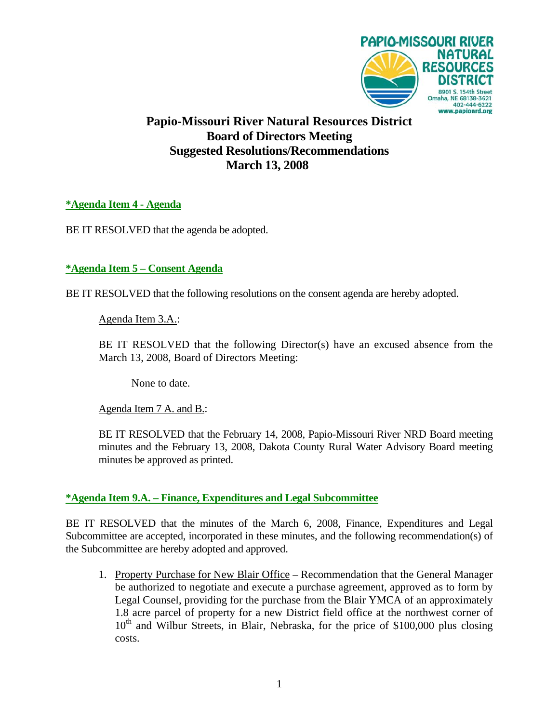

**Papio-Missouri River Natural Resources District Board of Directors Meeting Suggested Resolutions/Recommendations March 13, 2008** 

**\*Agenda Item 4 - Agenda**

BE IT RESOLVED that the agenda be adopted.

**\*Agenda Item 5 – Consent Agenda**

BE IT RESOLVED that the following resolutions on the consent agenda are hereby adopted.

Agenda Item 3.A.:

BE IT RESOLVED that the following Director(s) have an excused absence from the March 13, 2008, Board of Directors Meeting:

None to date.

Agenda Item 7 A. and B.:

 BE IT RESOLVED that the February 14, 2008, Papio-Missouri River NRD Board meeting minutes and the February 13, 2008, Dakota County Rural Water Advisory Board meeting minutes be approved as printed.

## **\*Agenda Item 9.A. – Finance, Expenditures and Legal Subcommittee**

BE IT RESOLVED that the minutes of the March 6, 2008, Finance, Expenditures and Legal Subcommittee are accepted, incorporated in these minutes, and the following recommendation(s) of the Subcommittee are hereby adopted and approved.

1. Property Purchase for New Blair Office – Recommendation that the General Manager be authorized to negotiate and execute a purchase agreement, approved as to form by Legal Counsel, providing for the purchase from the Blair YMCA of an approximately 1.8 acre parcel of property for a new District field office at the northwest corner of  $10<sup>th</sup>$  and Wilbur Streets, in Blair, Nebraska, for the price of \$100,000 plus closing costs.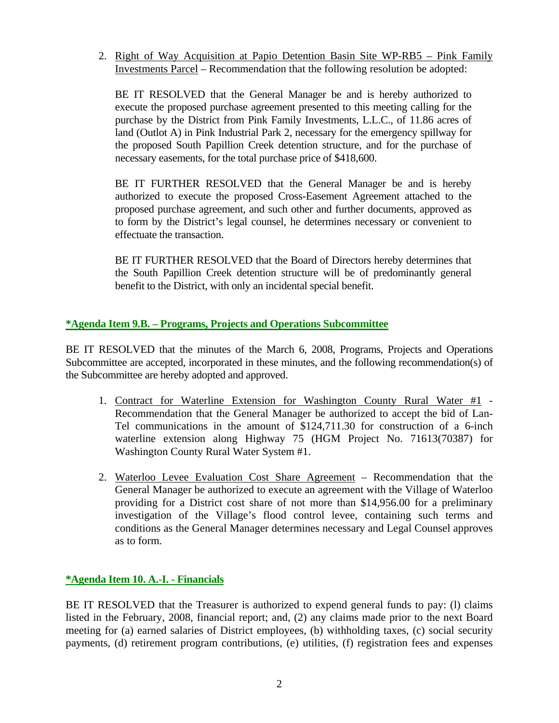2. Right of Way Acquisition at Papio Detention Basin Site WP-RB5 – Pink Family Investments Parcel – Recommendation that the following resolution be adopted:

BE IT RESOLVED that the General Manager be and is hereby authorized to execute the proposed purchase agreement presented to this meeting calling for the purchase by the District from Pink Family Investments, L.L.C., of 11.86 acres of land (Outlot A) in Pink Industrial Park 2, necessary for the emergency spillway for the proposed South Papillion Creek detention structure, and for the purchase of necessary easements, for the total purchase price of \$418,600.

BE IT FURTHER RESOLVED that the General Manager be and is hereby authorized to execute the proposed Cross-Easement Agreement attached to the proposed purchase agreement, and such other and further documents, approved as to form by the District's legal counsel, he determines necessary or convenient to effectuate the transaction.

BE IT FURTHER RESOLVED that the Board of Directors hereby determines that the South Papillion Creek detention structure will be of predominantly general benefit to the District, with only an incidental special benefit.

## **\*Agenda Item 9.B. – Programs, Projects and Operations Subcommittee**

BE IT RESOLVED that the minutes of the March 6, 2008, Programs, Projects and Operations Subcommittee are accepted, incorporated in these minutes, and the following recommendation(s) of the Subcommittee are hereby adopted and approved.

- 1. Contract for Waterline Extension for Washington County Rural Water #1 Recommendation that the General Manager be authorized to accept the bid of Lan-Tel communications in the amount of \$124,711.30 for construction of a 6-inch waterline extension along Highway 75 (HGM Project No. 71613(70387) for Washington County Rural Water System #1.
- 2. Waterloo Levee Evaluation Cost Share Agreement Recommendation that the General Manager be authorized to execute an agreement with the Village of Waterloo providing for a District cost share of not more than \$14,956.00 for a preliminary investigation of the Village's flood control levee, containing such terms and conditions as the General Manager determines necessary and Legal Counsel approves as to form.

## **\*Agenda Item 10. A.-I. - Financials**

BE IT RESOLVED that the Treasurer is authorized to expend general funds to pay: (l) claims listed in the February, 2008, financial report; and, (2) any claims made prior to the next Board meeting for (a) earned salaries of District employees, (b) withholding taxes, (c) social security payments, (d) retirement program contributions, (e) utilities, (f) registration fees and expenses